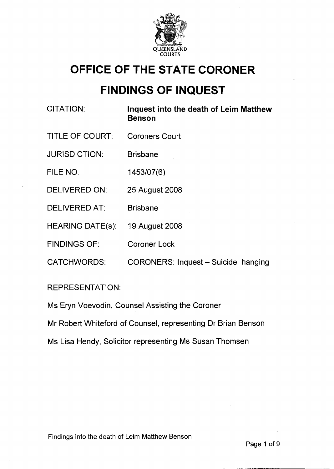

# **OFFICE OF THE STATE CORONER**

# **FINDINGS OF INQUEST**

| <b>CITATION:</b>        | Inquest into the death of Leim Matthew<br><b>Benson</b> |
|-------------------------|---------------------------------------------------------|
| <b>TITLE OF COURT:</b>  | <b>Coroners Court</b>                                   |
| <b>JURISDICTION:</b>    | <b>Brisbane</b>                                         |
| FILE NO:                | 1453/07(6)                                              |
| <b>DELIVERED ON:</b>    | 25 August 2008                                          |
| <b>DELIVERED AT:</b>    | <b>Brisbane</b>                                         |
| <b>HEARING DATE(s):</b> | 19 August 2008                                          |
| <b>FINDINGS OF:</b>     | <b>Coroner Lock</b>                                     |
| <b>CATCHWORDS:</b>      | CORONERS: Inquest - Suicide, hanging                    |
|                         |                                                         |

# REPRESENTATION:

Ms Eryn Voevodin, Counsel Assisting the Coroner

Mr Robert Whiteford of Counsel, representing Dr Brian Benson

Ms Lisa Hendy, Solicitor representing Ms Susan Thomsen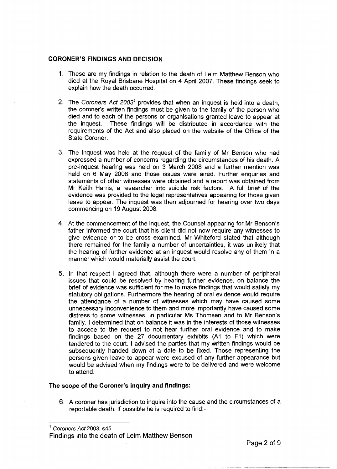#### **CORONER'S FINDINGS AND DECISION**

- 1. These are my findings in relation to the death of Leim Matthew Benson who died at the Royal Brisbane Hospital on **4** April 2007. These findings seek to explain how the death occurred.
- 2. The Coroners Act  $2003<sup>1</sup>$  provides that when an inquest is held into a death, the coroner's written findings must be given to the family of the person who died and to each of the persons or organisations granted leave to appear at the inquest. These findings will be distributed in accordance with the requirements of the Act and also placed on the website of the Office of the State Coroner.
- 3. The inquest was held at the request of the family of Mr Benson who had expressed a number of concerns regarding the circumstances of his death. A pre-inquest hearing was held on 3 March 2008 and a further mention was held on 6 May 2008 and those issues were aired. Further enquiries and statements of other witnesses were obtained and a report was obtained from Mr Keith Harris, a researcher into suicide risk factors. A full brief of the evidence was provided to the legal representatives appearing for those given leave to appear. The inquest was then adjourned for hearing over two days commencing on 19 August 2008.
- **4.** At the commencement of the inquest, the Counsel appearing for Mr Benson's father informed the court that his client did not now require any witnesses to give evidence or to be cross examined. Mr Whiteford stated that although there remained for the family a number of uncertainties, it was unlikely that the hearing of further evidence at an inquest would resolve any of them in a manner which would materially assist the court.
- 5. In that respect I agreed that, although there were a number of peripheral issues that could be resolved by hearing further evidence, on balance the brief of evidence was sufficient for me to make findings that would satisfy my statutory obligations. Furthermore the hearing of oral evidence would require the attendance of a number of witnesses which may have caused some unnecessary inconvenience to them and more importantly have caused some distress to some witnesses, in particular Ms Thomsen and to Mr Benson's family. I determined that on balance it was in the interests of those witnesses to accede to the request to not hear further oral evidence and to make findings based on the 27 documentary exhibits (A1 to F1) which were tendered to the court. I advised the parties that my written findings would be subsequently handed down at a date to be fixed. Those representing the persons given leave to appear were excused of any further appearance but would be advised when my findings were to be delivered and were welcome to attend.

### **The scope of the Coroner's inquiry and findings:**

6. A coroner has jurisdiction to inquire into the cause and the circumstances of a reportable death. If possible he is required to find:-

**<sup>1</sup>**Coroners Act 2003, s45

Findings into the death of Leim Matthew Benson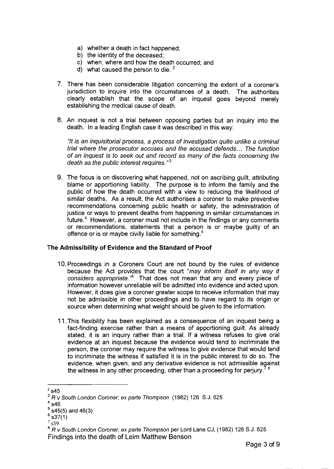- a) whether a death in fact happened;
- b) the identity of the deceased;
- c) when, where and how the death occurred; and
- d) what caused the person to die.  $2^2$
- 7. There has been considerable litigation concerning the extent of a coroner's jurisdiction to inquire into the circumstances of a death. The authorities clearly establish that the scope of an inquest goes beyond merely establishing the medical cause of death.
- 8. An inquest is not a trial between opposing parties but an inquiry into the death. In a leading English case it was described in this way:

"It is an inquisitorial process, a process of investigation quite unlike a criminal trial where the prosecutor accuses and the accused defends.. . The function of an inquest is to seek out and record as many of the facts concerning the death as the public interest requires.<sup>"3</sup>

9. The focus is on discovering what happened, not on ascribing guilt, attributing blame or apportioning liability. The purpose is to inform the family and the public of how the death occurred with a view to reducing the likelihood of similar deaths. As a result, the Act authorises a coroner to make preventive recommendations concerning public health or safety, the administration of justice or ways to prevent deaths from happening in similar circumstances in future.<sup>4</sup> However, a coroner must not include in the findings or any comments or recommendations, statements that a person is or maybe guilty of an offence or is or maybe civilly liable for something. $5$ 

#### The Admissibility of Evidence and the Standard of Proof

- 10.Proceedings in a Coroners Court are not bound by the rules of evidence because the Act provides that the court "may inform itself in any way it considers appropriate.<sup>"6</sup> That does not mean that any and every piece of information however unreliable will be admitted into evidence and acted upon. However, it does give a coroner greater scope to receive information that may not be admissible in other proceedings and to have regard to its origin or source when determining what weight should be given to the information.
- 11 .This flexibility has been explained as a consequence of an inquest being a fact-finding exercise rather than a means of apportioning guilt. As already stated, it is an inquiry rather than a trial. If a witness refuses to give oral evidence at an inquest because the evidence would tend to incriminate the person, the coroner may require the witness to give evidence that would tend to incriminate the witness if satisfied it is in the public interest to do so. The evidence, when given, and any derivative evidence is not admissible against the witness in any other proceeding, other than a proceeding for perjury.<sup>7</sup>

- $6$  s37(1)
- **s39**

<sup>8</sup> R v South London Coroner; ex parte Thompson per Lord Lane CJ, (1982) 126 S.J. 625 Findings into the death of Leim Matthew Benson

 $2$  s45

 $3RV$  South London Coroner; ex parte Thompson (1982) 126 S.J. 625

 $4$  s46

 $5$  s45(5) and 46(3)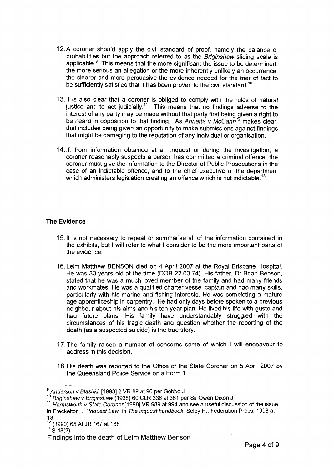- 12.A coroner should apply the civil standard of proof, namely the balance of probabilities but the approach referred to as the Briginshaw sliding scale is applicable. $<sup>9</sup>$  This means that the more significant the issue to be determined.</sup> the more serious an allegation or the more inherently unlikely an occurrence. the clearer and more persuasive the evidence needed for the trier of fact to be sufficiently satisfied that it has been proven to the civil standard.<sup>10</sup>
- 13. It is also clear that a coroner is obliged to comply with the rules of natural justice and to act judicially.<sup>11</sup> This means that no findings adverse to the interest of any party may be made without that party first being given a right to be heard in opposition to that finding. As Annetts v McCann<sup>12</sup> makes clear, that includes being given an opportunity to make submissions against findings that might be damaging to the reputation of any individual or organisation.
- 14.lf, from information obtained at an inquest or during the investigation, a coroner reasonably suspects a person has committed a criminal offence, the coroner must give the information to the Director of Public Prosecutions in the case of an indictable offence, and to the chief executive of the department which administers legislation creating an offence which is not indictable.<sup>13</sup>

## **The Evidence**

- 15. It is not necessary to repeat or summarise all of the information contained in the exhibits, but I will refer to what I consider to be the more important parts of the evidence.
- 16. Leim Matthew BENSON died on 4 April 2007 at the Royal Brisbane Hospital. He was 33 years old at the time (DO6 22.03.74). His father, Dr Brian Benson, stated that he was a much loved member of the family and had many friends and workmates. He was a qualified charter vessel captain and had many skills, particularly with his marine and fishing interests. He was completing a mature age apprenticeship in carpentry. He had only days before spoken to a previous neighbour about his aims and his ten year plan. He lived his life with gusto and had future plans. His family have understandably struggled with the circumstances of his tragic death and question whether the reporting of the death (as a suspected suicide) is the true story.
- 17.The family raised a number of concerns some of which I will endeavour to address in this decision.
- 18. His death was reported to the Office of the State Coroner on 5 April 2007 by the Queensland Police Service on a Form 1.

lo Briginshaw v Briginshaw (1938) 60 CLR 336 at 361 per Sir Owen Dixon J

**l2** (1 990) 65 ALJR 167 at 168

**l3** S 48(2)

<sup>&</sup>lt;sup>9</sup> Anderson v Blashki [1993] 2 VR 89 at 96 per Gobbo J

<sup>&</sup>lt;sup>11</sup> Harmsworth v State Coroner [1989] VR 989 at 994 and see a useful discussion of the issue in Freckelton I., "Inquest Law" in The inquest handbook, Selby H., Federation Press, 1998 at 13

Findings into the death of Leim Matthew Benson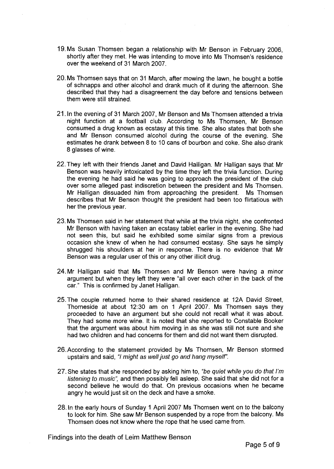- 19. Ms Susan Thomsen began a relationship with Mr Benson in February 2006, shortly after they met. He was intending to move into Ms Thomsen's residence over the weekend of 31 March 2007.
- 20. Ms Thomsen says that on 31 March, after mowing the lawn, he bought a bottle of schnapps and other alcohol and drank much of it during the afternoon. She described that they had a disagreement the day before and tensions between them were still strained.
- 21. In the evening of 31 March 2007, Mr Benson and Ms Thomsen attended a trivia night function at a football club. According to Ms Thomsen, Mr Benson consumed a drug known as ecstasy at this time. She also states that both she and Mr Benson consumed alcohol during the course of the evening. She estimates he drank between 8 to 10 cans of bourbon and coke. She also drank 8 glasses of wine.
- 22.They left with their friends Janet and David Halligan. Mr Halligan says that Mr Benson was heavily intoxicated by the time they left the trivia function. During the evening he had said he was going to approach the president of the club over some alleged past indiscretion between the president and Ms Thomsen. Mr Halligan dissuaded him from approaching the president. Ms Thomsen describes that Mr Benson thought the president had been too flirtatious with her the previous year.
- 23. Ms Thomsen said in her statement that while at the trivia night, she confronted Mr Benson with having taken an ecstasy tablet earlier in the evening. She had not seen this, but said he exhibited some similar signs from a previous occasion she knew of when he had consumed ecstasy. She says he simply shrugged his shoulders at her in response. There is no evidence that Mr Benson was a regular user of this or any other illicit drug.
- 24.Mr Halligan said that Ms Thomsen and Mr Benson were having a minor argument but when they left they were "all over each other in the back of the car." This is confirmed by Janet Halligan.
- 25.The couple returned home to their shared residence at 12A David Street, Thorneside at about 12:30 am on 1 April 2007. Ms Thomsen says they proceeded to have an argument but she could not recall what it was about. They had some more wine. It is noted that she reported to Constable Booker that the argument was about him moving in as she was still not sure and she had two children and had concerns for them and did not want them disrupted.
- 26. According to the statement provided by Ms Thomsen, Mr Benson stormed upstairs and said, "I might as well just go and hang myself".
- 27. She states that she responded by asking him to, "be quiet while you do that I'm listening to music", and then possibly fell asleep. She said that she did not for a second believe he would do that. On previous occasions when he became angry he would just sit on the deck and have a smoke.
- 28. In the early hours of Sunday 1 April 2007 Ms Thomsen went on to the balcony to look for him. She saw Mr Benson suspended by a rope from the balcony. Ms Thomsen does not know where the rope that he used came from.

Findings into the death of Leim Matthew Benson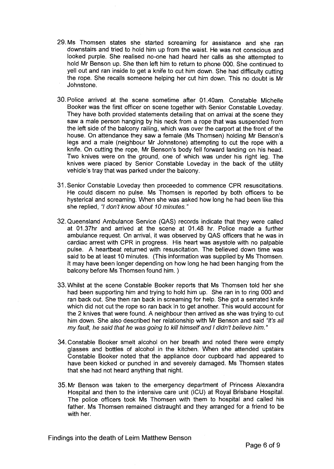- 29.Ms Thomsen states she started screaming for assistance and she ran downstairs and tried to hold him up from the waist. He was not conscious and looked purple. She realised no-one had heard her calls as she attempted to hold Mr Benson up. She then left him to return to phone 000. She continued to yell out and ran inside to get a knife to cut him down. She had difficulty cutting the rope. She recalls someone helping her cut him down. This no doubt is Mr Johnstone.
- 30. Police arrived at the scene sometime after 01.40am. Constable Michelle Booker was the first officer on scene together with Senior Constable Loveday. They have both provided statements detailing that on arrival at the scene they saw a male person hanging by his neck from a rope that was suspended from the left side of the balcony railing, which was over the carport at the front of the house. On attendance they saw a female (Ms Thomsen) holding Mr Benson's legs and a male (neighbour Mr Johnstone) attempting to cut the rope with a knife. On cutting the rope, Mr Benson's body fell forward landing on his head. Two knives were on the ground, one of which was under his right leg. The knives were placed by Senior Constable Loveday in the back of the utility vehicle's tray that was parked under the balcony.
- 31. Senior Constable Loveday then proceeded to commence CPR resuscitations. He could discern no pulse. Ms Thomsen is reported by both officers to be hysterical and screaming. When she was asked how long he had been like this she replied, "I don't know about **70** minutes. "
- 32. Queensland Ambulance Service (QAS) records indicate that they were called at 01.37hr and arrived at the scene at 01.48 hr. Police made a further ambulance request. On arrival, it was observed by QAS officers that he was in cardiac arrest with CPR in progress. His heart was asystole with no palpable pulse. A heartbeat returned with resuscitation. The believed down time was said to be at least 10 minutes. (This information was supplied by Ms Thomsen. It may have been longer depending on how long he had been hanging from the balcony before Ms Thomsen found him. )
- 33. Whilst at the scene Constable Booker reports that Ms Thomsen told her she had been supporting him and trying to hold him up. She ran in to ring 000 and ran back out. She then ran back in screaming for help. She got a serrated knife which did not cut the rope so ran back in to get another. This would account for the 2 knives that were found. A neighbour then arrived as she was trying to cut him down. She also described her relationship with Mr Benson and said "it's all my fault, he said that he was going to kill himself and I didn't believe him. "
- 34.Constable Booker smelt alcohol on her breath and noted there were empty glasses and bottles of alcohol in the kitchen. When she attended upstairs Constable Booker noted that the appliance door cupboard had appeared to have been kicked or punched in and severely damaged. Ms Thomsen states that she had not heard anything that night.
- 35. Mr Benson was taken to the emergency department of Princess Alexandra Hospital and then to the intensive care unit (ICU) at Royal Brisbane Hospital. The police officers took Ms Thomsen with them to hospital and called his father. Ms Thomsen remained distraught and they arranged for a friend to be with her.

Findings into the death of Leim Matthew Benson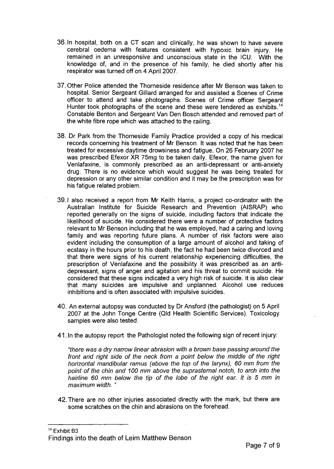- 36. In hospital, both on a CT scan and clinically, he was shown to have severe cerebral oedema with features consistent with hypoxic brain injury. He remained in an unresponsive and unconscious state in the ICU. With the knowledge of, and in the presence of his family, he died shortly after his respirator was turned off on **4** April 2007.
- 37.Other Police attended the Thorneside residence after Mr Benson was taken to hospital. Senior Sergeant Gillard arranged for and assisted a Scenes of Crime officer to attend and take photographs. Scenes of Crime officer Sergeant Hunter took photographs of the scene and these were tendered as exhibits.<sup>14</sup> Constable Benton and Sergeant Van Den Bosch attended and removed part of the white fibre rope which was attached to the railing.
- 38. Dr Park from the Thorneside Family Practice provided a copy of his medical records concerning his treatment of Mr Benson. It was noted that he has been treated for excessive daytime drowsiness and fatigue. On 26 February 2007 he was prescribed Efexor XR 75mg to be taken daily. Efexor, the name given for Venlafaxine, is commonly prescribed as an anti-depressant or anti-anxiety drug. There is no evidence which would suggest he was being treated for depression or any other similar condition and it may be the prescription was for his fatigue related problem.
- 39.1 also received a report from Mr Keith Harris, a project co-ordinator with the Australian Institute for Suicide Research and Prevention (AISRAP) who reported generally on the signs of suicide, including factors that indicate the likelihood of suicide. He considered there were a number of protective factors relevant to Mr Benson including that he was employed, had a caring and loving family and was reporting future plans. A number of risk factors were also evident including the consumption of a large amount of alcohol and taking of ecstasy in the hours prior to his death, the fact he had been twice divorced and that there were signs of his current relationship experiencing difficulties, the prescription of Venlafaxine and the possibility it was prescribed as an antidepressant, signs of anger and agitation and his threat to commit suicide. He considered that these signs indicated a very high risk of suicide. It is also clear that many suicides are impulsive and unplanned. Alcohol use reduces inhibitions and is often associated with impulsive suicides.
- 40. An external autopsy was conducted by Dr Ansford (the pathologist) on 5 April 2007 at the John Tonge Centre (Qld Health Scientific Services). Toxicology samples were also tested.
- 41. In the autopsy report the Pathologist noted the following sign of recent injury:

"there was a dry narrow linear abrasion with a brown base passing around the front and right side of the neck from a point below the middle of the right horizontal mandibular ramus (above the top of the larynx), 60 mm from the point of the chin and 100 mm above the suprasternal notch, to arch into the hairline 60 mm below the tip of the lobe of the right ear. It is **5** mm in maximum width. "

42.There are no other injuries associated directly with the mark, but there are some scratches on the chin and abrasions on the forehead.

**l4 Exhibit** B3 Findings into the death of Leim Matthew Benson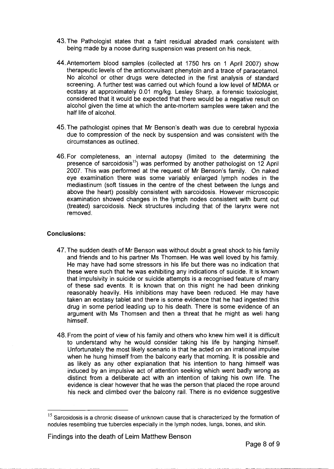- 43.The Pathologist states that a faint residual abraded mark consistent with being made by a noose during suspension was present on his neck.
- 44.Antemortem blood samples (collected at 1750 hrs on 1 April 2007) show therapeutic levels of the anticonvulsant phenytoin and a trace of paracetamol. No alcohol or other drugs were detected in the first analysis of standard screening. A further test was carried out which found a low level of MDMA or ecstasy at approximately 0.01 mg/kg. Lesley Sharp, a forensic toxicologist, considered that it would be expected that there would be a negative result on alcohol given the time at which the ante-mortem samples were taken and the half life of alcohol.
- 45.The pathologist opines that Mr Benson's death was due to cerebral hypoxia due to compression of the neck by suspension and was consistent with the circumstances as outlined.
- 46.For completeness, an internal autopsy (limited to the determining the presence of sarcoidosis<sup>15</sup>) was performed by another pathologist on 12 April 2007. This was performed at the request of Mr Benson's family. On naked eye examination there was some variably enlarged lymph nodes in the mediastinum (soft tissues in the centre of the chest between the lungs and above the heart) possibly consistent with sarcoidosis. However microscopic examination showed changes in the lymph nodes consistent with burnt out (treated) sarcoidosis. Neck structures including that of the larynx were not removed.

### **Conclusions:**

- 47.The sudden death of Mr Benson was without doubt a great shock to his family and friends and to his partner Ms Thomsen. He was well loved by his family. He may have had some stressors in his life but there was no indication that these were such that he was exhibiting any indications of suicide. It is known that impulsivity in suicide or suicide attempts is a recognised feature of many of these sad events. It is known that on this night he had been drinking reasonably heavily. His inhibitions may have been reduced. He may have taken an ecstasy tablet and there is some evidence that he had ingested this drug in some period leading up to his death. There is some evidence of an argument with Ms Thomsen and then a threat that he might as well hang himself.
- 48. From the point of view of his family and others who knew him well it is difficult to understand why he would consider taking his life by hanging himself. Unfortunately the most likely scenario is that he acted on an irrational impulse when he hung himself from the balcony early that morning. It is possible and as likely as any other explanation that his intention to hang himself was induced by an impulsive act of attention seeking which went badly wrong as distinct from a deliberate act with an intention of taking his own life. The evidence is clear however that he was the person that placed the rope around his neck and climbed over the balcony rail. There is no evidence suggestive

<sup>&</sup>lt;sup>15</sup> Sarcoidosis is a chronic disease of unknown cause that is characterized by the formation of nodules resembling true tubercles especially in the lymph nodes, lungs, bones, and skin.

Findings into the death of Leim Matthew Benson